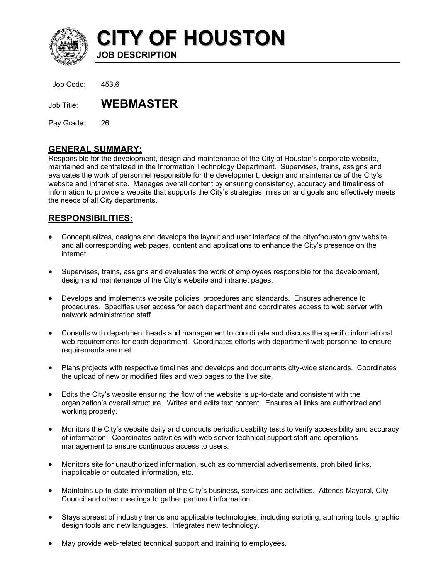

**CITY OF HOUSTON JOB DESCRIPTION** 

Job Code: 453.6

Job Title: **WEBMASTER**

Pay Grade: 26

## **GENERAL SUMMARY:**

Responsible for the development, design and maintenance of the City of Houston's corporate website, maintained and centralized in the Information Technology Department. Supervises, trains, assigns and evaluates the work of personnel responsible for the development, design and maintenance of the City's website and intranet site. Manages overall content by ensuring consistency, accuracy and timeliness of information to provide a website that supports the City's strategies, mission and goals and effectively meets the needs of all City departments.

## **RESPONSIBILITIES:**

- Conceptualizes, designs and develops the layout and user interface of the cityofhouston.gov website and all corresponding web pages, content and applications to enhance the City's presence on the internet.
- Supervises, trains, assigns and evaluates the work of employees responsible for the development, design and maintenance of the City's website and intranet pages.
- Develops and implements website policies, procedures and standards. Ensures adherence to procedures. Specifies user access for each department and coordinates access to web server with network administration staff.
- Consults with department heads and management to coordinate and discuss the specific informational web requirements for each department. Coordinates efforts with department web personnel to ensure requirements are met.
- Plans projects with respective timelines and develops and documents city-wide standards. Coordinates the upload of new or modified files and web pages to the live site.
- Edits the City's website ensuring the flow of the website is up-to-date and consistent with the organization's overall structure. Writes and edits text content. Ensures all links are authorized and working properly.
- Monitors the City's website daily and conducts periodic usability tests to verify accessibility and accuracy of information. Coordinates activities with web server technical support staff and operations management to ensure continuous access to users.
- Monitors site for unauthorized information, such as commercial advertisements, prohibited links, inapplicable or outdated information, etc.
- Maintains up-to-date information of the City's business, services and activities. Attends Mayoral, City Council and other meetings to gather pertinent information.
- Stays abreast of industry trends and applicable technologies, including scripting, authoring tools, graphic design tools and new languages. Integrates new technology.
- May provide web-related technical support and training to employees.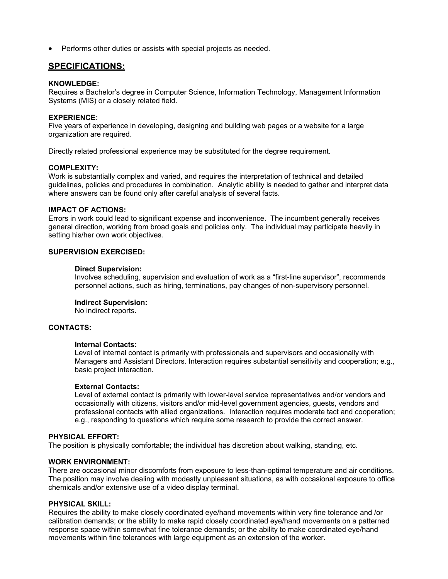• Performs other duties or assists with special projects as needed.

# **SPECIFICATIONS:**

#### **KNOWLEDGE:**

Requires a Bachelor's degree in Computer Science, Information Technology, Management Information Systems (MIS) or a closely related field.

#### **EXPERIENCE:**

Five years of experience in developing, designing and building web pages or a website for a large organization are required.

Directly related professional experience may be substituted for the degree requirement.

#### **COMPLEXITY:**

Work is substantially complex and varied, and requires the interpretation of technical and detailed guidelines, policies and procedures in combination. Analytic ability is needed to gather and interpret data where answers can be found only after careful analysis of several facts.

#### **IMPACT OF ACTIONS:**

Errors in work could lead to significant expense and inconvenience. The incumbent generally receives general direction, working from broad goals and policies only. The individual may participate heavily in setting his/her own work objectives.

#### **SUPERVISION EXERCISED:**

#### **Direct Supervision:**

Involves scheduling, supervision and evaluation of work as a "first-line supervisor", recommends personnel actions, such as hiring, terminations, pay changes of non-supervisory personnel.

#### **Indirect Supervision:**

No indirect reports.

#### **CONTACTS:**

#### **Internal Contacts:**

Level of internal contact is primarily with professionals and supervisors and occasionally with Managers and Assistant Directors. Interaction requires substantial sensitivity and cooperation; e.g., basic project interaction.

#### **External Contacts:**

Level of external contact is primarily with lower-level service representatives and/or vendors and occasionally with citizens, visitors and/or mid-level government agencies, guests, vendors and professional contacts with allied organizations. Interaction requires moderate tact and cooperation; e.g., responding to questions which require some research to provide the correct answer.

#### **PHYSICAL EFFORT:**

The position is physically comfortable; the individual has discretion about walking, standing, etc.

#### **WORK ENVIRONMENT:**

There are occasional minor discomforts from exposure to less-than-optimal temperature and air conditions. The position may involve dealing with modestly unpleasant situations, as with occasional exposure to office chemicals and/or extensive use of a video display terminal.

#### **PHYSICAL SKILL:**

Requires the ability to make closely coordinated eye/hand movements within very fine tolerance and /or calibration demands; or the ability to make rapid closely coordinated eye/hand movements on a patterned response space within somewhat fine tolerance demands; or the ability to make coordinated eye/hand movements within fine tolerances with large equipment as an extension of the worker.